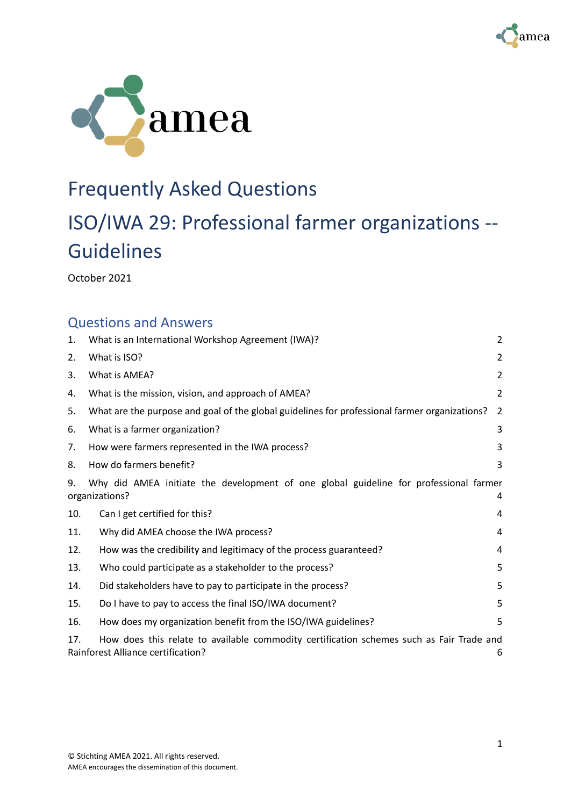



## Frequently Asked Questions

# ISO/IWA 29: Professional farmer organizations -- Guidelines

October 2021

### Questions and Answers

| 1.  | What is an International Workshop Agreement (IWA)?                                                                                    | $\overline{2}$ |
|-----|---------------------------------------------------------------------------------------------------------------------------------------|----------------|
| 2.  | What is ISO?                                                                                                                          | 2              |
| 3.  | What is AMEA?                                                                                                                         | 2              |
| 4.  | What is the mission, vision, and approach of AMEA?                                                                                    | 2              |
| 5.  | What are the purpose and goal of the global guidelines for professional farmer organizations?                                         | 2              |
| 6.  | What is a farmer organization?                                                                                                        | 3              |
| 7.  | How were farmers represented in the IWA process?                                                                                      | 3              |
| 8.  | How do farmers benefit?                                                                                                               | 3              |
| 9.  | Why did AMEA initiate the development of one global guideline for professional farmer<br>organizations?<br>4                          |                |
| 10. | Can I get certified for this?                                                                                                         | 4              |
| 11. | Why did AMEA choose the IWA process?                                                                                                  | 4              |
| 12. | How was the credibility and legitimacy of the process guaranteed?                                                                     | 4              |
| 13. | Who could participate as a stakeholder to the process?                                                                                | 5              |
| 14. | Did stakeholders have to pay to participate in the process?                                                                           | 5              |
| 15. | Do I have to pay to access the final ISO/IWA document?                                                                                | 5              |
| 16. | How does my organization benefit from the ISO/IWA guidelines?                                                                         | 5              |
| 17. | How does this relate to available commodity certification schemes such as Fair Trade and<br><b>Rainforest Alliance certification?</b> | 6              |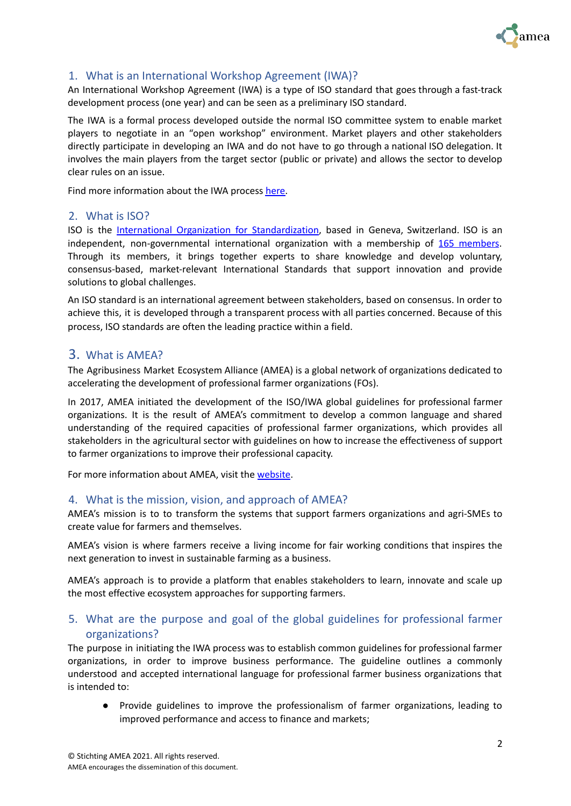

#### <span id="page-1-0"></span>1. What is an International Workshop Agreement (IWA)?

An International Workshop Agreement (IWA) is a type of ISO standard that goes through a fast-track development process (one year) and can be seen as a preliminary ISO standard.

The IWA is a formal process developed outside the normal ISO committee system to enable market players to negotiate in an "open workshop" environment. Market players and other stakeholders directly participate in developing an IWA and do not have to go through a national ISO delegation. It involves the main players from the target sector (public or private) and allows the sector to develop clear rules on an issue.

Find more information about the IWA process [here](https://www.iso.org/deliverables-all.html)[.](https://www.iso.org/files/live/sites/isoorg/files/developing_standards/docs/en/tmb_iwa.pdf)

#### <span id="page-1-1"></span>2. What is ISO?

ISO is the International Organization for [Standardization,](https://www.iso.org/about-us.html) based in Geneva, Switzerland. ISO is an independent, non-governmental international organization with a membership of 165 [members.](https://www.iso.org/members.html) Through its members, it brings together experts to share knowledge and develop voluntary, consensus-based, market-relevant International Standards that support innovation and provide solutions to global challenges.

An ISO standard is an international agreement between stakeholders, based on consensus. In order to achieve this, it is developed through a transparent process with all parties concerned. Because of this process, ISO standards are often the leading practice within a field.

#### <span id="page-1-2"></span>3. What is AMEA?

The Agribusiness Market Ecosystem Alliance (AMEA) is a global network of organizations dedicated to accelerating the development of professional farmer organizations (FOs).

In 2017, AMEA initiated the development of the ISO/IWA global guidelines for professional farmer organizations. It is the result of AMEA's commitment to develop a common language and shared understanding of the required capacities of professional farmer organizations, which provides all stakeholders in the agricultural sector with guidelines on how to increase the effectiveness of support to farmer organizations to improve their professional capacity.

For more information about AMEA, visit the [website.](https://www.ameaglobal.org/)

#### <span id="page-1-3"></span>4. What is the mission, vision, and approach of AMEA?

AMEA's mission is to to transform the systems that support farmers organizations and agri-SMEs to create value for farmers and themselves.

AMEA's vision is where farmers receive a living income for fair working conditions that inspires the next generation to invest in sustainable farming as a business.

AMEA's approach is to provide a platform that enables stakeholders to learn, innovate and scale up the most effective ecosystem approaches for supporting farmers.

#### <span id="page-1-4"></span>5. What are the purpose and goal of the global guidelines for professional farmer organizations?

The purpose in initiating the IWA process was to establish common guidelines for professional farmer organizations, in order to improve business performance. The guideline outlines a commonly understood and accepted international language for professional farmer business organizations that is intended to:

● Provide guidelines to improve the professionalism of farmer organizations, leading to improved performance and access to finance and markets;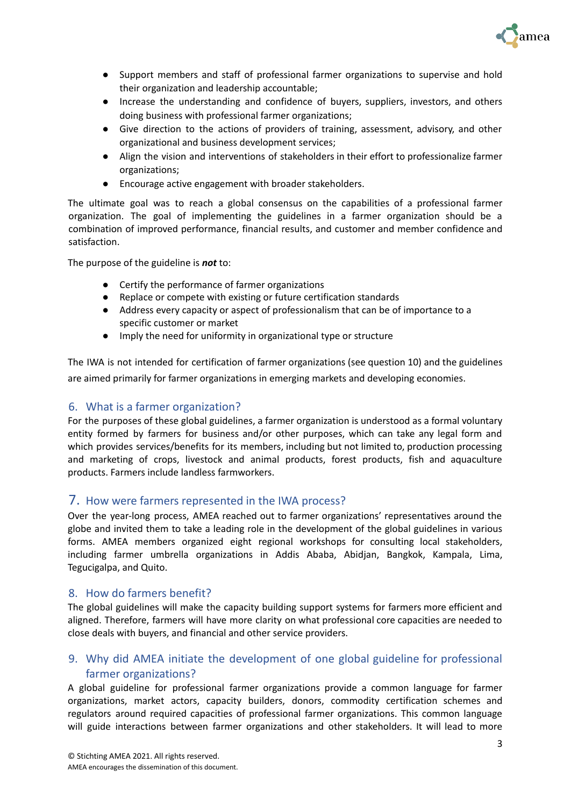

- Support members and staff of professional farmer organizations to supervise and hold their organization and leadership accountable;
- Increase the understanding and confidence of buyers, suppliers, investors, and others doing business with professional farmer organizations;
- Give direction to the actions of providers of training, assessment, advisory, and other organizational and business development services;
- Align the vision and interventions of stakeholders in their effort to professionalize farmer organizations;
- Encourage active engagement with broader stakeholders.

The ultimate goal was to reach a global consensus on the capabilities of a professional farmer organization. The goal of implementing the guidelines in a farmer organization should be a combination of improved performance, financial results, and customer and member confidence and satisfaction.

The purpose of the guideline is *not* to:

- Certify the performance of farmer organizations
- Replace or compete with existing or future certification standards
- Address every capacity or aspect of professionalism that can be of importance to a specific customer or market
- Imply the need for uniformity in organizational type or structure

The IWA is not intended for certification of farmer organizations (see question 10) and the guidelines are aimed primarily for farmer organizations in emerging markets and developing economies.

#### <span id="page-2-0"></span>6. What is a farmer organization?

For the purposes of these global guidelines, a farmer organization is understood as a formal voluntary entity formed by farmers for business and/or other purposes, which can take any legal form and which provides services/benefits for its members, including but not limited to, production processing and marketing of crops, livestock and animal products, forest products, fish and aquaculture products. Farmers include landless farmworkers.

#### <span id="page-2-1"></span>7. How were farmers represented in the IWA process?

Over the year-long process, AMEA reached out to farmer organizations' representatives around the globe and invited them to take a leading role in the development of the global guidelines in various forms. AMEA members organized eight regional workshops for consulting local stakeholders, including farmer umbrella organizations in Addis Ababa, Abidjan, Bangkok, Kampala, Lima, Tegucigalpa, and Quito.

#### <span id="page-2-2"></span>8. How do farmers benefit?

The global guidelines will make the capacity building support systems for farmers more efficient and aligned. Therefore, farmers will have more clarity on what professional core capacities are needed to close deals with buyers, and financial and other service providers.

#### <span id="page-2-3"></span>9. Why did AMEA initiate the development of one global guideline for professional farmer organizations?

A global guideline for professional farmer organizations provide a common language for farmer organizations, market actors, capacity builders, donors, commodity certification schemes and regulators around required capacities of professional farmer organizations. This common language will guide interactions between farmer organizations and other stakeholders. It will lead to more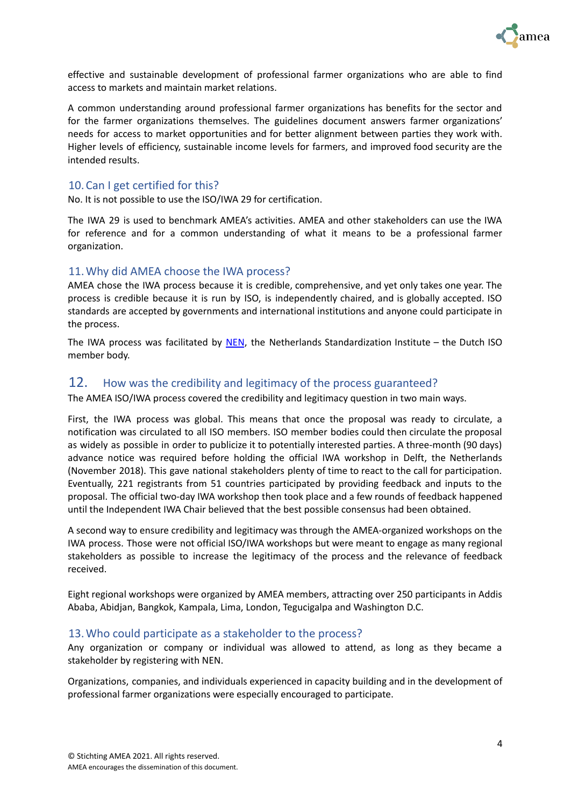

effective and sustainable development of professional farmer organizations who are able to find access to markets and maintain market relations.

A common understanding around professional farmer organizations has benefits for the sector and for the farmer organizations themselves. The guidelines document answers farmer organizations' needs for access to market opportunities and for better alignment between parties they work with. Higher levels of efficiency, sustainable income levels for farmers, and improved food security are the intended results.

#### <span id="page-3-0"></span>10.Can I get certified for this?

No. It is not possible to use the ISO/IWA 29 for certification.

The IWA 29 is used to benchmark AMEA's activities. AMEA and other stakeholders can use the IWA for reference and for a common understanding of what it means to be a professional farmer organization.

#### <span id="page-3-1"></span>11.Why did AMEA choose the IWA process?

AMEA chose the IWA process because it is credible, comprehensive, and yet only takes one year. The process is credible because it is run by ISO, is independently chaired, and is globally accepted. ISO standards are accepted by governments and international institutions and anyone could participate in the process.

The IWA process was facilitated by  $NEN$ , the Netherlands Standardization Institute – the Dutch ISO member body.

#### <span id="page-3-2"></span>12. How was the credibility and legitimacy of the process guaranteed?

The AMEA ISO/IWA process covered the credibility and legitimacy question in two main ways.

First, the IWA process was global. This means that once the proposal was ready to circulate, a notification was circulated to all ISO members. ISO member bodies could then circulate the proposal as widely as possible in order to publicize it to potentially interested parties. A three-month (90 days) advance notice was required before holding the official IWA workshop in Delft, the Netherlands (November 2018). This gave national stakeholders plenty of time to react to the call for participation. Eventually, 221 registrants from 51 countries participated by providing feedback and inputs to the proposal. The official two-day IWA workshop then took place and a few rounds of feedback happened until the Independent IWA Chair believed that the best possible consensus had been obtained.

A second way to ensure credibility and legitimacy was through the AMEA-organized workshops on the IWA process. Those were not official ISO/IWA workshops but were meant to engage as many regional stakeholders as possible to increase the legitimacy of the process and the relevance of feedback received.

Eight regional workshops were organized by AMEA members, attracting over 250 participants in Addis Ababa, Abidjan, Bangkok, Kampala, Lima, London, Tegucigalpa and Washington D.C.

#### <span id="page-3-3"></span>13.Who could participate as a stakeholder to the process?

Any organization or company or individual was allowed to attend, as long as they became a stakeholder by registering with NEN.

Organizations, companies, and individuals experienced in capacity building and in the development of professional farmer organizations were especially encouraged to participate.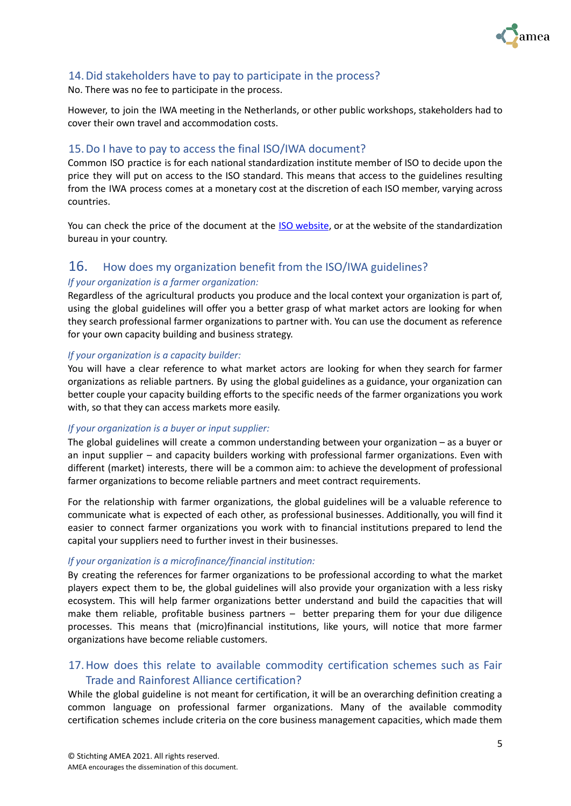

#### <span id="page-4-0"></span>14.Did stakeholders have to pay to participate in the process?

No. There was no fee to participate in the process.

However, to join the IWA meeting in the Netherlands, or other public workshops, stakeholders had to cover their own travel and accommodation costs.

#### <span id="page-4-1"></span>15.Do I have to pay to access the final ISO/IWA document?

Common ISO practice is for each national standardization institute member of ISO to decide upon the price they will put on access to the ISO standard. This means that access to the guidelines resulting from the IWA process comes at a monetary cost at the discretion of each ISO member, varying across countries.

You can check the price of the document at the **ISO [website](https://www.iso.org/standard/75808.html)**, or at the website of the standardization bureau in your country.

## <span id="page-4-2"></span>16. How does my organization benefit from the ISO/IWA guidelines?

#### *If your organization is a farmer organization:*

Regardless of the agricultural products you produce and the local context your organization is part of, using the global guidelines will offer you a better grasp of what market actors are looking for when they search professional farmer organizations to partner with. You can use the document as reference for your own capacity building and business strategy.

#### *If your organization is a capacity builder:*

You will have a clear reference to what market actors are looking for when they search for farmer organizations as reliable partners. By using the global guidelines as a guidance, your organization can better couple your capacity building efforts to the specific needs of the farmer organizations you work with, so that they can access markets more easily.

#### *If your organization is a buyer or input supplier:*

The global guidelines will create a common understanding between your organization – as a buyer or an input supplier – and capacity builders working with professional farmer organizations. Even with different (market) interests, there will be a common aim: to achieve the development of professional farmer organizations to become reliable partners and meet contract requirements.

For the relationship with farmer organizations, the global guidelines will be a valuable reference to communicate what is expected of each other, as professional businesses. Additionally, you will find it easier to connect farmer organizations you work with to financial institutions prepared to lend the capital your suppliers need to further invest in their businesses.

#### *If your organization is a microfinance/financial institution:*

By creating the references for farmer organizations to be professional according to what the market players expect them to be, the global guidelines will also provide your organization with a less risky ecosystem. This will help farmer organizations better understand and build the capacities that will make them reliable, profitable business partners – better preparing them for your due diligence processes. This means that (micro)financial institutions, like yours, will notice that more farmer organizations have become reliable customers.

#### <span id="page-4-3"></span>17.How does this relate to available commodity certification schemes such as Fair Trade and Rainforest Alliance certification?

While the global guideline is not meant for certification, it will be an overarching definition creating a common language on professional farmer organizations. Many of the available commodity certification schemes include criteria on the core business management capacities, which made them